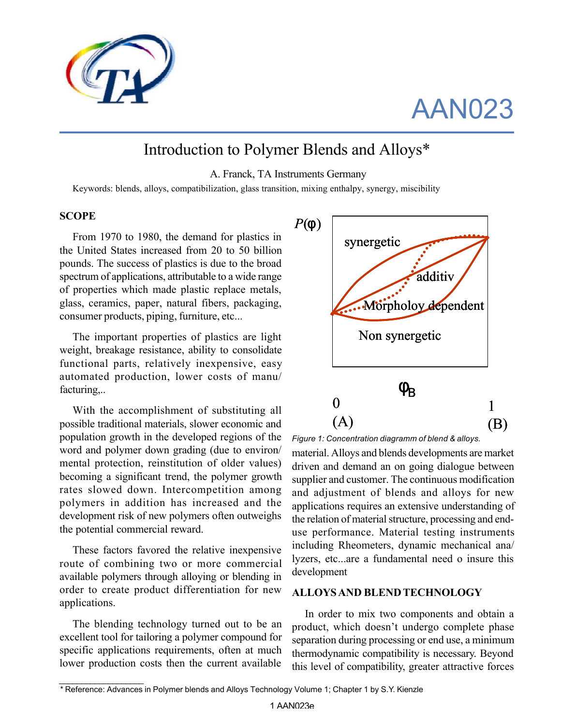

# AAN023

# Introduction to Polymer Blends and Alloys\*

A. Franck, TA Instruments Germany

Keywords: blends, alloys, compatibilization, glass transition, mixing enthalpy, synergy, miscibility

#### **SCOPE**

From 1970 to 1980, the demand for plastics in the United States increased from 20 to 50 billion pounds. The success of plastics is due to the broad spectrum of applications, attributable to a wide range of properties which made plastic replace metals, glass, ceramics, paper, natural fibers, packaging, consumer products, piping, furniture, etc...

The important properties of plastics are light weight, breakage resistance, ability to consolidate functional parts, relatively inexpensive, easy automated production, lower costs of manu/ facturing,..

With the accomplishment of substituting all possible traditional materials, slower economic and population growth in the developed regions of the word and polymer down grading (due to environ/ mental protection, reinstitution of older values) becoming a significant trend, the polymer growth rates slowed down. Intercompetition among polymers in addition has increased and the development risk of new polymers often outweighs the potential commercial reward.

These factors favored the relative inexpensive route of combining two or more commercial available polymers through alloying or blending in order to create product differentiation for new applications.

The blending technology turned out to be an excellent tool for tailoring a polymer compound for specific applications requirements, often at much lower production costs then the current available

*\_\_\_\_\_\_\_\_\_\_\_\_\_\_\_\_\_\_\_*



*Figure 1: Concentration diagramm of blend & alloys.*

material. Alloys and blends developments are market driven and demand an on going dialogue between supplier and customer. The continuous modification and adjustment of blends and alloys for new applications requires an extensive understanding of the relation of material structure, processing and enduse performance. Material testing instruments including Rheometers, dynamic mechanical ana/ lyzers, etc...are a fundamental need o insure this development

#### **ALLOYS AND BLEND TECHNOLOGY**

In order to mix two components and obtain a product, which doesn't undergo complete phase separation during processing or end use, a minimum thermodynamic compatibility is necessary. Beyond this level of compatibility, greater attractive forces

*<sup>\*</sup>* Reference: Advances in Polymer blends and Alloys Technology Volume 1; Chapter 1 by S.Y. Kienzle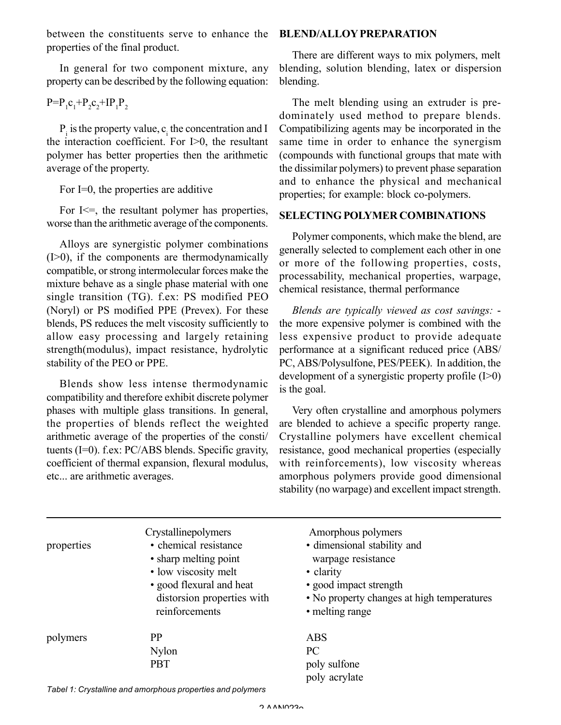between the constituents serve to enhance the properties of the final product.

In general for two component mixture, any property can be described by the following equation:

$$
P = P_1 C_1 + P_2 C_2 + IP_1 P_2
$$

 $P_i$  is the property value,  $c_i$  the concentration and I the interaction coefficient. For I>0, the resultant polymer has better properties then the arithmetic average of the property.

For I=0, the properties are additive

For  $I \leq \equiv$ , the resultant polymer has properties, worse than the arithmetic average of the components.

Alloys are synergistic polymer combinations (I>0), if the components are thermodynamically compatible, or strong intermolecular forces make the mixture behave as a single phase material with one single transition (TG). f.ex: PS modified PEO (Noryl) or PS modified PPE (Prevex). For these blends, PS reduces the melt viscosity sufficiently to allow easy processing and largely retaining strength(modulus), impact resistance, hydrolytic stability of the PEO or PPE.

Blends show less intense thermodynamic compatibility and therefore exhibit discrete polymer phases with multiple glass transitions. In general, the properties of blends reflect the weighted arithmetic average of the properties of the consti/ tuents (I=0). f.ex: PC/ABS blends. Specific gravity, coefficient of thermal expansion, flexural modulus, etc... are arithmetic averages.

# **BLEND/ALLOY PREPARATION**

There are different ways to mix polymers, melt blending, solution blending, latex or dispersion blending.

The melt blending using an extruder is predominately used method to prepare blends. Compatibilizing agents may be incorporated in the same time in order to enhance the synergism (compounds with functional groups that mate with the dissimilar polymers) to prevent phase separation and to enhance the physical and mechanical properties; for example: block co-polymers.

# **SELECTING POLYMER COMBINATIONS**

Polymer components, which make the blend, are generally selected to complement each other in one or more of the following properties, costs, processability, mechanical properties, warpage, chemical resistance, thermal performance

*Blends are typically viewed as cost savings:* the more expensive polymer is combined with the less expensive product to provide adequate performance at a significant reduced price (ABS/ PC, ABS/Polysulfone, PES/PEEK). In addition, the development of a synergistic property profile (I>0) is the goal.

Very often crystalline and amorphous polymers are blended to achieve a specific property range. Crystalline polymers have excellent chemical resistance, good mechanical properties (especially with reinforcements), low viscosity whereas amorphous polymers provide good dimensional stability (no warpage) and excellent impact strength.

| properties | Crystallinepolymers<br>• chemical resistance<br>• sharp melting point<br>• low viscosity melt<br>• good flexural and heat<br>distorsion properties with<br>reinforcements | Amorphous polymers<br>• dimensional stability and<br>warpage resistance<br>• clarity<br>• good impact strength<br>• No property changes at high temperatures<br>• melting range |
|------------|---------------------------------------------------------------------------------------------------------------------------------------------------------------------------|---------------------------------------------------------------------------------------------------------------------------------------------------------------------------------|
| polymers   | PP<br><b>Nylon</b><br><b>PBT</b>                                                                                                                                          | <b>ABS</b><br>PC<br>poly sulfone<br>poly acrylate                                                                                                                               |

*Tabel 1: Crystalline and amorphous properties and polymers*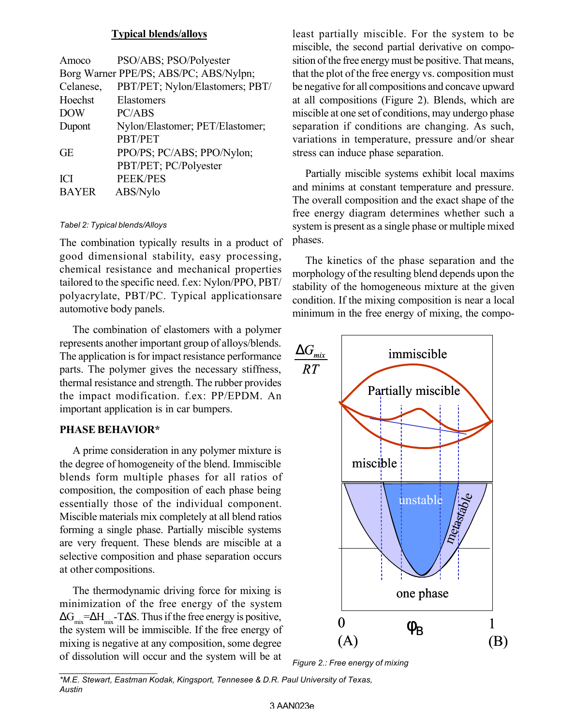### **Typical blends/alloys**

| Amoco        | PSO/ABS; PSO/Polyester                 |
|--------------|----------------------------------------|
|              | Borg Warner PPE/PS; ABS/PC; ABS/Nylpn; |
| Celanese,    | PBT/PET; Nylon/Elastomers; PBT/        |
| Hoechst      | Elastomers                             |
| <b>DOW</b>   | PC/ABS                                 |
| Dupont       | Nylon/Elastomer; PET/Elastomer;        |
|              | PBT/PET                                |
| <b>GE</b>    | PPO/PS; PC/ABS; PPO/Nylon;             |
|              | PBT/PET; PC/Polyester                  |
| <b>ICI</b>   | <b>PEEK/PES</b>                        |
| <b>BAYER</b> | ABS/Nylo                               |
|              |                                        |

#### *Tabel 2: Typical blends/Alloys*

The combination typically results in a product of good dimensional stability, easy processing, chemical resistance and mechanical properties tailored to the specific need. f.ex: Nylon/PPO, PBT/ polyacrylate, PBT/PC. Typical applicationsare automotive body panels.

The combination of elastomers with a polymer represents another important group of alloys/blends. The application is for impact resistance performance parts. The polymer gives the necessary stiffness, thermal resistance and strength. The rubber provides the impact modification. f.ex: PP/EPDM. An important application is in car bumpers.

# **PHASE BEHAVIOR\***

*\_\_\_\_\_\_\_\_\_\_\_\_\_\_\_\_\_\_\_\_\_\_*

A prime consideration in any polymer mixture is the degree of homogeneity of the blend. Immiscible blends form multiple phases for all ratios of composition, the composition of each phase being essentially those of the individual component. Miscible materials mix completely at all blend ratios forming a single phase. Partially miscible systems are very frequent. These blends are miscible at a selective composition and phase separation occurs at other compositions.

The thermodynamic driving force for mixing is minimization of the free energy of the system  $\Delta G_{mix} = \Delta H_{mix} - T \Delta S$ . Thus if the free energy is positive, the system will be immiscible. If the free energy of mixing is negative at any composition, some degree of dissolution will occur and the system will be at least partially miscible. For the system to be miscible, the second partial derivative on composition of the free energy must be positive. That means, that the plot of the free energy vs. composition must be negative for all compositions and concave upward at all compositions (Figure 2). Blends, which are miscible at one set of conditions, may undergo phase separation if conditions are changing. As such, variations in temperature, pressure and/or shear stress can induce phase separation.

Partially miscible systems exhibit local maxims and minims at constant temperature and pressure. The overall composition and the exact shape of the free energy diagram determines whether such a system is present as a single phase or multiple mixed phases.

The kinetics of the phase separation and the morphology of the resulting blend depends upon the stability of the homogeneous mixture at the given condition. If the mixing composition is near a local minimum in the free energy of mixing, the compo-



*Figure 2.: Free energy of mixing*

*\*M.E. Stewart, Eastman Kodak, Kingsport, Tennesee & D.R. Paul University of Texas, Austin*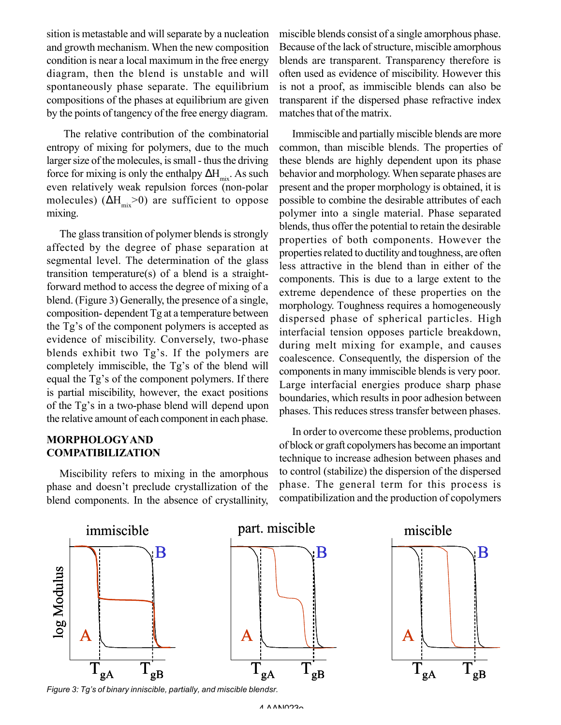sition is metastable and will separate by a nucleation and growth mechanism. When the new composition condition is near a local maximum in the free energy diagram, then the blend is unstable and will spontaneously phase separate. The equilibrium compositions of the phases at equilibrium are given by the points of tangency of the free energy diagram.

 The relative contribution of the combinatorial entropy of mixing for polymers, due to the much larger size of the molecules, is small - thus the driving force for mixing is only the enthalpy  $\Delta H_{mix}$ . As such even relatively weak repulsion forces (non-polar molecules) ( $\Delta H_{\text{mix}}$ >0) are sufficient to oppose mixing.

The glass transition of polymer blends is strongly affected by the degree of phase separation at segmental level. The determination of the glass transition temperature(s) of a blend is a straightforward method to access the degree of mixing of a blend. (Figure 3) Generally, the presence of a single, composition- dependent Tg at a temperature between the Tg's of the component polymers is accepted as evidence of miscibility. Conversely, two-phase blends exhibit two Tg's. If the polymers are completely immiscible, the Tg's of the blend will equal the Tg's of the component polymers. If there is partial miscibility, however, the exact positions of the Tg's in a two-phase blend will depend upon the relative amount of each component in each phase.

# **MORPHOLOGYAND COMPATIBILIZATION**

Miscibility refers to mixing in the amorphous phase and doesn't preclude crystallization of the blend components. In the absence of crystallinity, miscible blends consist of a single amorphous phase. Because of the lack of structure, miscible amorphous blends are transparent. Transparency therefore is often used as evidence of miscibility. However this is not a proof, as immiscible blends can also be transparent if the dispersed phase refractive index matches that of the matrix.

Immiscible and partially miscible blends are more common, than miscible blends. The properties of these blends are highly dependent upon its phase behavior and morphology. When separate phases are present and the proper morphology is obtained, it is possible to combine the desirable attributes of each polymer into a single material. Phase separated blends, thus offer the potential to retain the desirable properties of both components. However the properties related to ductility and toughness, are often less attractive in the blend than in either of the components. This is due to a large extent to the extreme dependence of these properties on the morphology. Toughness requires a homogeneously dispersed phase of spherical particles. High interfacial tension opposes particle breakdown, during melt mixing for example, and causes coalescence. Consequently, the dispersion of the components in many immiscible blends is very poor. Large interfacial energies produce sharp phase boundaries, which results in poor adhesion between phases. This reduces stress transfer between phases.

In order to overcome these problems, production of block or graft copolymers has become an important technique to increase adhesion between phases and to control (stabilize) the dispersion of the dispersed phase. The general term for this process is compatibilization and the production of copolymers



*Figure 3: Tg's of binary inniscible, partially, and miscible blendsr.*